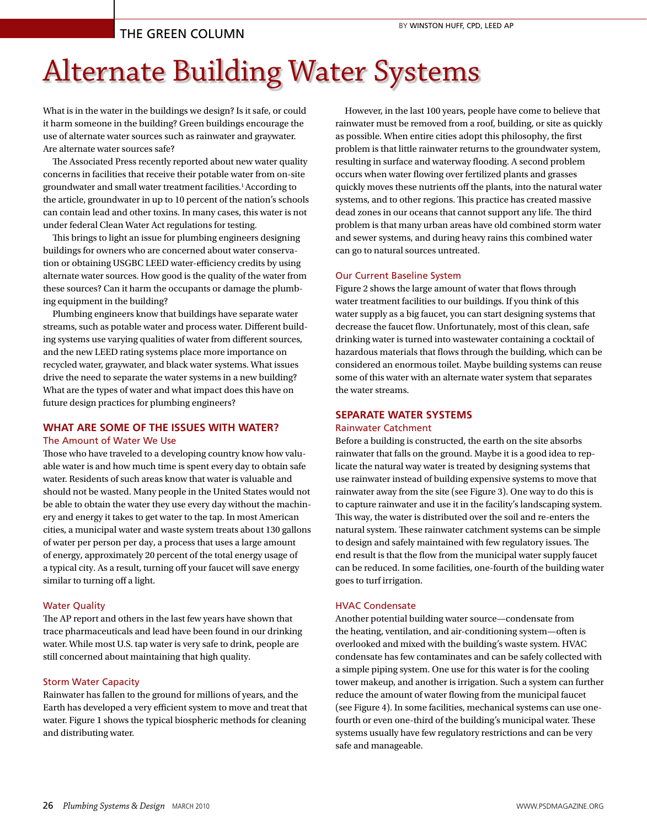# THE GREEN COLUMN

# Alternate Building Water Systems

What is in the water in the buildings we design? Is it safe, or could it harm someone in the building? Green buildings encourage the use of alternate water sources such as rainwater and graywater. Are alternate water sources safe?

The Associated Press recently reported about new water quality concerns in facilities that receive their potable water from on-site groundwater and small water treatment facilities.1 According to the article, groundwater in up to 10 percent of the nation's schools can contain lead and other toxins. In many cases, this water is not under federal Clean Water Act regulations for testing.

This brings to light an issue for plumbing engineers designing buildings for owners who are concerned about water conservation or obtaining USGBC LEED water-efficiency credits by using alternate water sources. How good is the quality of the water from these sources? Can it harm the occupants or damage the plumbing equipment in the building?

Plumbing engineers know that buildings have separate water streams, such as potable water and process water. Different building systems use varying qualities of water from different sources, and the new LEED rating systems place more importance on recycled water, graywater, and black water systems. What issues drive the need to separate the water systems in a new building? What are the types of water and what impact does this have on future design practices for plumbing engineers?

# **WHAT ARE SOME OF THE ISSUES WITH WATER?**

## The Amount of Water We Use

Those who have traveled to a developing country know how valuable water is and how much time is spent every day to obtain safe water. Residents of such areas know that water is valuable and should not be wasted. Many people in the United States would not be able to obtain the water they use every day without the machinery and energy it takes to get water to the tap. In most American cities, a municipal water and waste system treats about 130 gallons of water per person per day, a process that uses a large amount of energy, approximately 20 percent of the total energy usage of a typical city. As a result, turning off your faucet will save energy similar to turning off a light.

# Water Quality

The AP report and others in the last few years have shown that trace pharmaceuticals and lead have been found in our drinking water. While most U.S. tap water is very safe to drink, people are still concerned about maintaining that high quality.

#### Storm Water Capacity

Rainwater has fallen to the ground for millions of years, and the Earth has developed a very efficient system to move and treat that water. Figure 1 shows the typical biospheric methods for cleaning and distributing water.

However, in the last 100 years, people have come to believe that rainwater must be removed from a roof, building, or site as quickly as possible. When entire cities adopt this philosophy, the first problem is that little rainwater returns to the groundwater system, resulting in surface and waterway flooding. A second problem occurs when water flowing over fertilized plants and grasses quickly moves these nutrients off the plants, into the natural water systems, and to other regions. This practice has created massive dead zones in our oceans that cannot support any life. The third problem is that many urban areas have old combined storm water and sewer systems, and during heavy rains this combined water can go to natural sources untreated.

## Our Current Baseline System

Figure 2 shows the large amount of water that flows through water treatment facilities to our buildings. If you think of this water supply as a big faucet, you can start designing systems that decrease the faucet flow. Unfortunately, most of this clean, safe drinking water is turned into wastewater containing a cocktail of hazardous materials that flows through the building, which can be considered an enormous toilet. Maybe building systems can reuse some of this water with an alternate water system that separates the water streams.

# **SEPARATE WATER SYSTEMS**

#### Rainwater Catchment

Before a building is constructed, the earth on the site absorbs rainwater that falls on the ground. Maybe it is a good idea to replicate the natural way water is treated by designing systems that use rainwater instead of building expensive systems to move that rainwater away from the site (see Figure 3). One way to do this is to capture rainwater and use it in the facility's landscaping system. This way, the water is distributed over the soil and re-enters the natural system. These rainwater catchment systems can be simple to design and safely maintained with few regulatory issues. The end result is that the flow from the municipal water supply faucet can be reduced. In some facilities, one-fourth of the building water goes to turf irrigation.

# HVAC Condensate

Another potential building water source—condensate from the heating, ventilation, and air-conditioning system—often is overlooked and mixed with the building's waste system. HVAC condensate has few contaminates and can be safely collected with a simple piping system. One use for this water is for the cooling tower makeup, and another is irrigation. Such a system can further reduce the amount of water flowing from the municipal faucet (see Figure 4). In some facilities, mechanical systems can use onefourth or even one-third of the building's municipal water. These systems usually have few regulatory restrictions and can be very safe and manageable.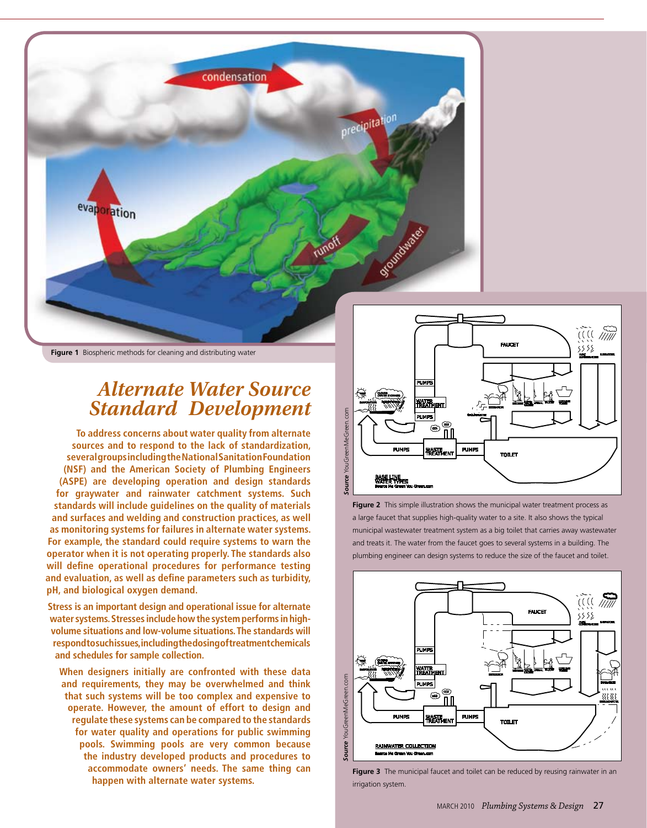

**Figure 1** Biospheric methods for cleaning and distributing water

# *Alternate Water Source Standard Development*

**To address concerns about water quality from alternate sources and to respond to the lack of standardization, several groups including the National Sanitation Foundation (NSF) and the American Society of Plumbing Engineers (ASPE) are developing operation and design standards for graywater and rainwater catchment systems. Such standards will include guidelines on the quality of materials and surfaces and welding and construction practices, as well as monitoring systems for failures in alternate water systems. For example, the standard could require systems to warn the operator when it is not operating properly. The standards also will define operational procedures for performance testing and evaluation, as well as define parameters such as turbidity, pH, and biological oxygen demand.** 

**Stress is an important design and operational issue for alternate water systems. Stresses include how the system performs in highvolume situations and low-volume situations. The standards will respond to such issues, including the dosing of treatment chemicals and schedules for sample collection.** 

**When designers initially are confronted with these data and requirements, they may be overwhelmed and think that such systems will be too complex and expensive to operate. However, the amount of effort to design and regulate these systems can be compared to the standards for water quality and operations for public swimming pools. Swimming pools are very common because the industry developed products and procedures to accommodate owners' needs. The same thing can happen with alternate water systems.** 



**Figure 2** This simple illustration shows the municipal water treatment process as a large faucet that supplies high-quality water to a site. It also shows the typical municipal wastewater treatment system as a big toilet that carries away wastewater and treats it. The water from the faucet goes to several systems in a building. The plumbing engineer can design systems to reduce the size of the faucet and toilet.



**Figure 3** The municipal faucet and toilet can be reduced by reusing rainwater in an irrigation system.